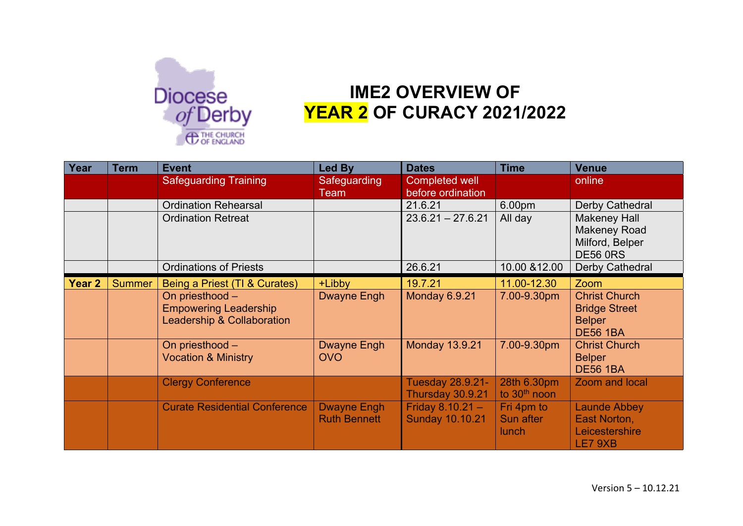

## **IME2 OVERVIEW OF YEAR 2 OF CURACY 2021/2022**

| Year              | <b>Term</b>   | <b>Event</b>                                                                             | Led By                                    | <b>Dates</b>                                 | <b>Time</b>                             | <b>Venue</b>                                                                     |
|-------------------|---------------|------------------------------------------------------------------------------------------|-------------------------------------------|----------------------------------------------|-----------------------------------------|----------------------------------------------------------------------------------|
|                   |               | <b>Safeguarding Training</b>                                                             | Safeguarding<br>Team                      | Completed well<br>before ordination          |                                         | online                                                                           |
|                   |               | <b>Ordination Rehearsal</b>                                                              |                                           | 21.6.21                                      | 6.00pm                                  | Derby Cathedral                                                                  |
|                   |               | <b>Ordination Retreat</b>                                                                |                                           | $23.6.21 - 27.6.21$                          | All day                                 | <b>Makeney Hall</b><br><b>Makeney Road</b><br>Milford, Belper<br><b>DE56 0RS</b> |
|                   |               | <b>Ordinations of Priests</b>                                                            |                                           | 26.6.21                                      | 10.00 & 12.00                           | Derby Cathedral                                                                  |
| Year <sub>2</sub> | <b>Summer</b> | Being a Priest (TI & Curates)                                                            | +Libby                                    | 19.7.21                                      | 11.00-12.30                             | Zoom                                                                             |
|                   |               | On priesthood -<br><b>Empowering Leadership</b><br><b>Leadership &amp; Collaboration</b> | <b>Dwayne Engh</b>                        | <b>Monday 6.9.21</b>                         | 7.00-9.30pm                             | <b>Christ Church</b><br><b>Bridge Street</b><br><b>Belper</b><br><b>DE56 1BA</b> |
|                   |               | On priesthood -<br><b>Vocation &amp; Ministry</b>                                        | <b>Dwayne Engh</b><br><b>OVO</b>          | <b>Monday 13.9.21</b>                        | 7.00-9.30pm                             | <b>Christ Church</b><br><b>Belper</b><br><b>DE56 1BA</b>                         |
|                   |               | <b>Clergy Conference</b>                                                                 |                                           | <b>Tuesday 28.9.21-</b><br>Thursday 30.9.21  | 28th 6.30pm<br>to 30 <sup>th</sup> noon | Zoom and local                                                                   |
|                   |               | <b>Curate Residential Conference</b>                                                     | <b>Dwayne Engh</b><br><b>Ruth Bennett</b> | Friday $8.10.21 -$<br><b>Sunday 10.10.21</b> | Fri 4pm to<br>Sun after<br><b>lunch</b> | <b>Launde Abbey</b><br>East Norton,<br>Leicestershire<br>LE7 9XB                 |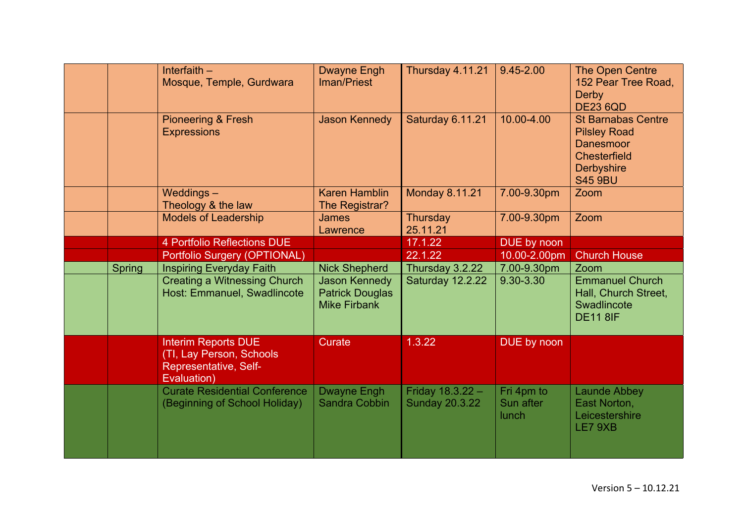|               | Interfaith $-$<br>Mosque, Temple, Gurdwara                                                     | <b>Dwayne Engh</b><br>Iman/Priest                                     | Thursday 4.11.21                          | 9.45-2.00                        | The Open Centre<br>152 Pear Tree Road,<br>Derby<br><b>DE23 6QD</b>                                                                 |
|---------------|------------------------------------------------------------------------------------------------|-----------------------------------------------------------------------|-------------------------------------------|----------------------------------|------------------------------------------------------------------------------------------------------------------------------------|
|               | <b>Pioneering &amp; Fresh</b><br><b>Expressions</b>                                            | <b>Jason Kennedy</b>                                                  | Saturday 6.11.21                          | 10.00-4.00                       | <b>St Barnabas Centre</b><br><b>Pilsley Road</b><br><b>Danesmoor</b><br><b>Chesterfield</b><br><b>Derbyshire</b><br><b>S45 9BU</b> |
|               | Weddings $-$<br>Theology & the law                                                             | <b>Karen Hamblin</b><br>The Registrar?                                | <b>Monday 8.11.21</b>                     | 7.00-9.30pm                      | Zoom                                                                                                                               |
|               | <b>Models of Leadership</b>                                                                    | <b>James</b><br>Lawrence                                              | Thursday<br>25.11.21                      | 7.00-9.30pm                      | Zoom                                                                                                                               |
|               | <b>4 Portfolio Reflections DUE</b>                                                             |                                                                       | 17.1.22                                   | DUE by noon                      |                                                                                                                                    |
|               | <b>Portfolio Surgery (OPTIONAL)</b>                                                            |                                                                       | 22.1.22                                   | 10.00-2.00pm                     | <b>Church House</b>                                                                                                                |
| <b>Spring</b> | <b>Inspiring Everyday Faith</b>                                                                | <b>Nick Shepherd</b>                                                  | Thursday 3.2.22                           | 7.00-9.30pm                      | Zoom                                                                                                                               |
|               | <b>Creating a Witnessing Church</b><br>Host: Emmanuel, Swadlincote                             | <b>Jason Kennedy</b><br><b>Patrick Douglas</b><br><b>Mike Firbank</b> | Saturday 12.2.22                          | 9.30-3.30                        | <b>Emmanuel Church</b><br>Hall, Church Street,<br>Swadlincote<br><b>DE11 8IF</b>                                                   |
|               | <b>Interim Reports DUE</b><br>(TI, Lay Person, Schools<br>Representative, Self-<br>Evaluation) | <b>Curate</b>                                                         | 1.3.22                                    | DUE by noon                      |                                                                                                                                    |
|               | <b>Curate Residential Conference</b><br>(Beginning of School Holiday)                          | <b>Dwayne Engh</b><br><b>Sandra Cobbin</b>                            | Friday 18.3.22 -<br><b>Sunday 20.3.22</b> | Fri 4pm to<br>Sun after<br>lunch | <b>Launde Abbey</b><br>East Norton,<br>Leicestershire<br>LE7 9XB                                                                   |